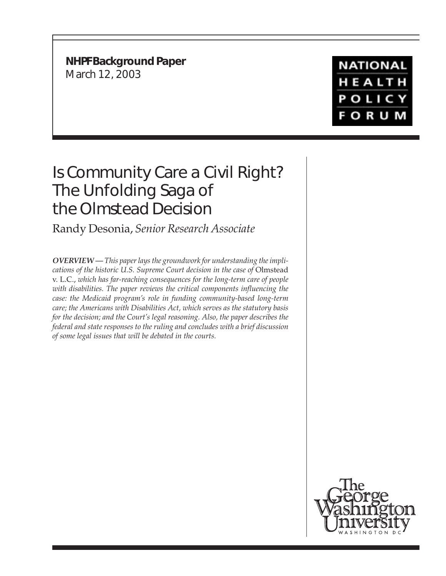**NHPF Background Paper** March 12, 2003

## **NATIONAL** HEALTH **POLICY FORUM**

# Is Community Care a Civil Right? The Unfolding Saga of the *Olmstead* Decision

Randy Desonia, *Senior Research Associate*

*OVERVIEW — This paper lays the groundwork for understanding the implications of the historic U.S. Supreme Court decision in the case of* Olmstead v. L.C., *which has far-reaching consequences for the long-term care of people with disabilities. The paper reviews the critical components influencing the case: the Medicaid program's role in funding community-based long-term care; the Americans with Disabilities Act, which serves as the statutory basis for the decision; and the Court's legal reasoning. Also, the paper describes the federal and state responses to the ruling and concludes with a brief discussion of some legal issues that will be debated in the courts.*

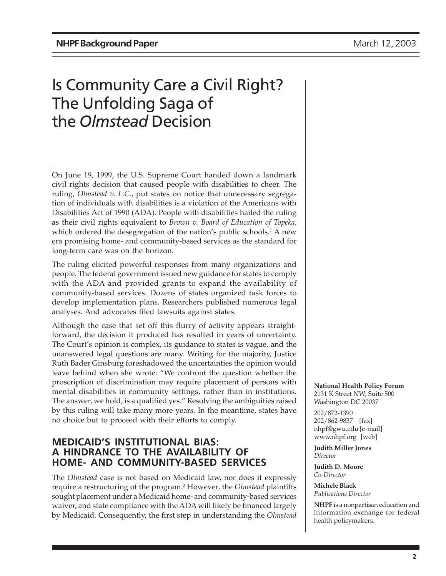## Is Community Care a Civil Right? The Unfolding Saga of the *Olmstead* Decision

On June 19, 1999, the U.S. Supreme Court handed down a landmark civil rights decision that caused people with disabilities to cheer. The ruling, *Olmstead v. L.C*., put states on notice that unnecessary segregation of individuals with disabilities is a violation of the Americans with Disabilities Act of 1990 (ADA). People with disabilities hailed the ruling as their civil rights equivalent to *Brown v. Board of Education of Topeka,* which ordered the desegregation of the nation's public schools.<sup>1</sup> A new era promising home- and community-based services as the standard for long-term care was on the horizon.

The ruling elicited powerful responses from many organizations and people. The federal government issued new guidance for states to comply with the ADA and provided grants to expand the availability of community-based services. Dozens of states organized task forces to develop implementation plans. Researchers published numerous legal analyses. And advocates filed lawsuits against states.

Although the case that set off this flurry of activity appears straightforward, the decision it produced has resulted in years of uncertainty. The Court's opinion is complex, its guidance to states is vague, and the unanswered legal questions are many. Writing for the majority, Justice Ruth Bader Ginsburg foreshadowed the uncertainties the opinion would leave behind when she wrote: "We confront the question whether the proscription of discrimination may require placement of persons with mental disabilities in community settings, rather than in institutions. The answer, we hold, is a qualified yes." Resolving the ambiguities raised by this ruling will take many more years. In the meantime, states have no choice but to proceed with their efforts to comply.

#### **MEDICAID'S INSTITUTIONAL BIAS: A HINDRANCE TO THE AVAILABILITY OF HOME- AND COMMUNITY-BASED SERVICES**

The *Olmstead* case is not based on Medicaid law, nor does it expressly require a restructuring of the program.2 However, the *Olmstead* plaintiffs sought placement under a Medicaid home- and community-based services waiver, and state compliance with the ADA will likely be financed largely by Medicaid. Consequently, the first step in understanding the *Olmstead* **National Health Policy Forum** 2131 K Street NW, Suite 500 Washington DC 20037

202/872-1390 202/862-9837 [fax] nhpf@gwu.edu [e-mail] www.nhpf.org [web]

**Judith Miller Jones** *Director*

**Judith D. Moore** *Co-Director*

**Michele Black** *Publications Director*

**NHPF** is a nonpartisan education and information exchange for federal health policymakers.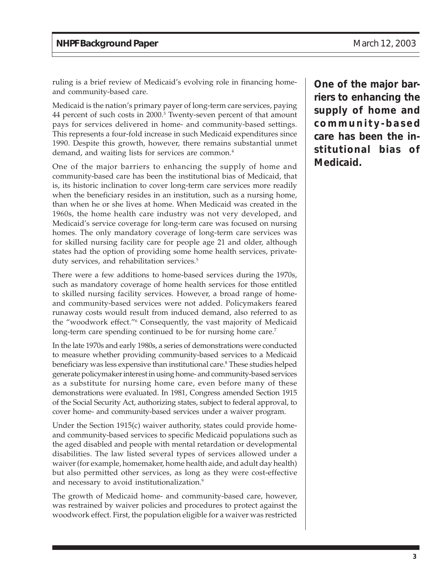ruling is a brief review of Medicaid's evolving role in financing homeand community-based care.

Medicaid is the nation's primary payer of long-term care services, paying 44 percent of such costs in 2000.<sup>3</sup> Twenty-seven percent of that amount pays for services delivered in home- and community-based settings. This represents a four-fold increase in such Medicaid expenditures since 1990. Despite this growth, however, there remains substantial unmet demand, and waiting lists for services are common.<sup>4</sup>

One of the major barriers to enhancing the supply of home and community-based care has been the institutional bias of Medicaid, that is, its historic inclination to cover long-term care services more readily when the beneficiary resides in an institution, such as a nursing home, than when he or she lives at home. When Medicaid was created in the 1960s, the home health care industry was not very developed, and Medicaid's service coverage for long-term care was focused on nursing homes. The only mandatory coverage of long-term care services was for skilled nursing facility care for people age 21 and older, although states had the option of providing some home health services, privateduty services, and rehabilitation services.<sup>5</sup>

There were a few additions to home-based services during the 1970s, such as mandatory coverage of home health services for those entitled to skilled nursing facility services. However, a broad range of homeand community-based services were not added. Policymakers feared runaway costs would result from induced demand, also referred to as the "woodwork effect."6 Consequently, the vast majority of Medicaid long-term care spending continued to be for nursing home care.<sup>7</sup>

In the late 1970s and early 1980s, a series of demonstrations were conducted to measure whether providing community-based services to a Medicaid beneficiary was less expensive than institutional care.<sup>8</sup> These studies helped generate policymaker interest in using home- and community-based services as a substitute for nursing home care, even before many of these demonstrations were evaluated. In 1981, Congress amended Section 1915 of the Social Security Act, authorizing states, subject to federal approval, to cover home- and community-based services under a waiver program.

Under the Section 1915(c) waiver authority, states could provide homeand community-based services to specific Medicaid populations such as the aged disabled and people with mental retardation or developmental disabilities. The law listed several types of services allowed under a waiver (for example, homemaker, home health aide, and adult day health) but also permitted other services, as long as they were cost-effective and necessary to avoid institutionalization.<sup>9</sup>

The growth of Medicaid home- and community-based care, however, was restrained by waiver policies and procedures to protect against the woodwork effect. First, the population eligible for a waiver was restricted **One of the major barriers to enhancing the supply of home and community-based care has been the institutional bias of Medicaid.**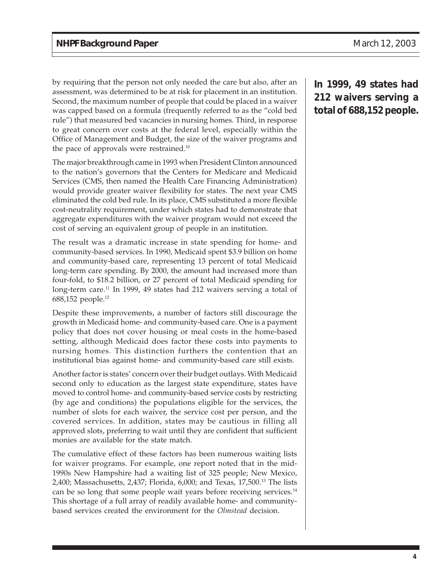by requiring that the person not only needed the care but also, after an assessment, was determined to be at risk for placement in an institution. Second, the maximum number of people that could be placed in a waiver was capped based on a formula (frequently referred to as the "cold bed rule") that measured bed vacancies in nursing homes. Third, in response to great concern over costs at the federal level, especially within the Office of Management and Budget, the size of the waiver programs and the pace of approvals were restrained.<sup>10</sup>

The major breakthrough came in 1993 when President Clinton announced to the nation's governors that the Centers for Medicare and Medicaid Services (CMS, then named the Health Care Financing Administration) would provide greater waiver flexibility for states. The next year CMS eliminated the cold bed rule. In its place, CMS substituted a more flexible cost-neutrality requirement, under which states had to demonstrate that aggregate expenditures with the waiver program would not exceed the cost of serving an equivalent group of people in an institution.

The result was a dramatic increase in state spending for home- and community-based services. In 1990, Medicaid spent \$3.9 billion on home and community-based care, representing 13 percent of total Medicaid long-term care spending. By 2000, the amount had increased more than four-fold, to \$18.2 billion, or 27 percent of total Medicaid spending for long-term care.<sup>11</sup> In 1999, 49 states had 212 waivers serving a total of 688,152 people.12

Despite these improvements, a number of factors still discourage the growth in Medicaid home- and community-based care. One is a payment policy that does not cover housing or meal costs in the home-based setting, although Medicaid does factor these costs into payments to nursing homes. This distinction furthers the contention that an institutional bias against home- and community-based care still exists.

Another factor is states' concern over their budget outlays. With Medicaid second only to education as the largest state expenditure, states have moved to control home- and community-based service costs by restricting (by age and conditions) the populations eligible for the services, the number of slots for each waiver, the service cost per person, and the covered services. In addition, states may be cautious in filling all approved slots, preferring to wait until they are confident that sufficient monies are available for the state match.

The cumulative effect of these factors has been numerous waiting lists for waiver programs. For example, one report noted that in the mid-1990s New Hampshire had a waiting list of 325 people; New Mexico, 2,400; Massachusetts, 2,437; Florida, 6,000; and Texas, 17,500.13 The lists can be so long that some people wait years before receiving services.<sup>14</sup> This shortage of a full array of readily available home- and communitybased services created the environment for the *Olmstead* decision.

**In 1999, 49 states had 212 waivers serving a total of 688,152 people.**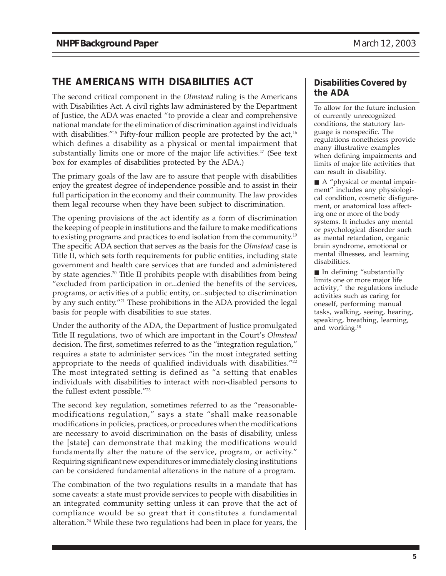## **THE AMERICANS WITH DISABILITIES ACT**

The second critical component in the *Olmstead* ruling is the Americans with Disabilities Act. A civil rights law administered by the Department of Justice, the ADA was enacted "to provide a clear and comprehensive national mandate for the elimination of discrimination against individuals with disabilities."<sup>15</sup> Fifty-four million people are protected by the  $act<sub>16</sub>$ which defines a disability as a physical or mental impairment that substantially limits one or more of the major life activities.<sup>17</sup> (See text box for examples of disabilities protected by the ADA.)

The primary goals of the law are to assure that people with disabilities enjoy the greatest degree of independence possible and to assist in their full participation in the economy and their community. The law provides them legal recourse when they have been subject to discrimination.

The opening provisions of the act identify as a form of discrimination the keeping of people in institutions and the failure to make modifications to existing programs and practices to end isolation from the community.19 The specific ADA section that serves as the basis for the *Olmstead* case is Title II, which sets forth requirements for public entities, including state government and health care services that are funded and administered by state agencies.20 Title II prohibits people with disabilities from being "excluded from participation in or...denied the benefits of the services, programs, or activities of a public entity, or...subjected to discrimination by any such entity."21 These prohibitions in the ADA provided the legal basis for people with disabilities to sue states.

Under the authority of the ADA, the Department of Justice promulgated Title II regulations, two of which are important in the Court's *Olmstead* decision. The first, sometimes referred to as the "integration regulation," requires a state to administer services "in the most integrated setting appropriate to the needs of qualified individuals with disabilities."<sup>22</sup> The most integrated setting is defined as "a setting that enables individuals with disabilities to interact with non-disabled persons to the fullest extent possible."23

The second key regulation, sometimes referred to as the "reasonablemodifications regulation," says a state "shall make reasonable modifications in policies, practices, or procedures when the modifications are necessary to avoid discrimination on the basis of disability, unless the [state] can demonstrate that making the modifications would fundamentally alter the nature of the service, program, or activity." Requiring significant new expenditures or immediately closing institutions can be considered fundamental alterations in the nature of a program.

The combination of the two regulations results in a mandate that has some caveats: a state must provide services to people with disabilities in an integrated community setting unless it can prove that the act of compliance would be so great that it constitutes a fundamental alteration.24 While these two regulations had been in place for years, the

#### **Disabilities Covered by the ADA**

To allow for the future inclusion of currently unrecognized conditions, the statutory language is nonspecific. The regulations nonetheless provide many illustrative examples when defining impairments and limits of major life activities that can result in disability.

■ A "physical or mental impairment" includes any physiological condition, cosmetic disfigurement, or anatomical loss affecting one or more of the body systems. It includes any mental or psychological disorder such as mental retardation, organic brain syndrome, emotional or mental illnesses, and learning disabilities.

■ In defining "substantially limits one or more major life activity*,"* the regulations include activities such as caring for oneself, performing manual tasks, walking, seeing, hearing, speaking, breathing, learning, and working.18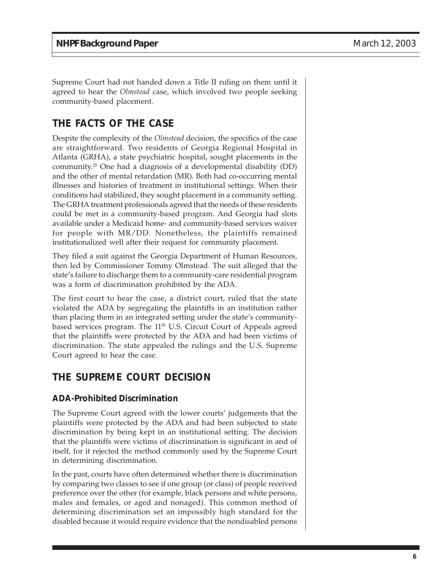Supreme Court had not handed down a Title II ruling on them until it agreed to hear the *Olmstead* case, which involved two people seeking community-based placement.

## **THE FACTS OF THE CASE**

Despite the complexity of the *Olmstead* decision, the specifics of the case are straightforward. Two residents of Georgia Regional Hospital in Atlanta (GRHA), a state psychiatric hospital, sought placements in the community.25 One had a diagnosis of a developmental disability (DD) and the other of mental retardation (MR). Both had co-occurring mental illnesses and histories of treatment in institutional settings. When their conditions had stabilized, they sought placement in a community setting. The GRHA treatment professionals agreed that the needs of these residents could be met in a community-based program. And Georgia had slots available under a Medicaid home- and community-based services waiver for people with MR/DD. Nonetheless, the plaintiffs remained institutionalized well after their request for community placement.

They filed a suit against the Georgia Department of Human Resources, then led by Commissioner Tommy Olmstead. The suit alleged that the state's failure to discharge them to a community-care residential program was a form of discrimination prohibited by the ADA.

The first court to hear the case, a district court, ruled that the state violated the ADA by segregating the plaintiffs in an institution rather than placing them in an integrated setting under the state's communitybased services program. The  $11<sup>th</sup>$  U.S. Circuit Court of Appeals agreed that the plaintiffs were protected by the ADA and had been victims of discrimination. The state appealed the rulings and the U.S. Supreme Court agreed to hear the case.

## **THE SUPREME COURT DECISION**

#### **ADA-Prohibited Discrimination**

The Supreme Court agreed with the lower courts' judgements that the plaintiffs were protected by the ADA and had been subjected to state discrimination by being kept in an institutional setting. The decision that the plaintiffs were victims of discrimination is significant in and of itself, for it rejected the method commonly used by the Supreme Court in determining discrimination.

In the past, courts have often determined whether there is discrimination by comparing two classes to see if one group (or class) of people received preference over the other (for example, black persons and white persons, males and females, or aged and nonaged). This common method of determining discrimination set an impossibly high standard for the disabled because it would require evidence that the nondisabled persons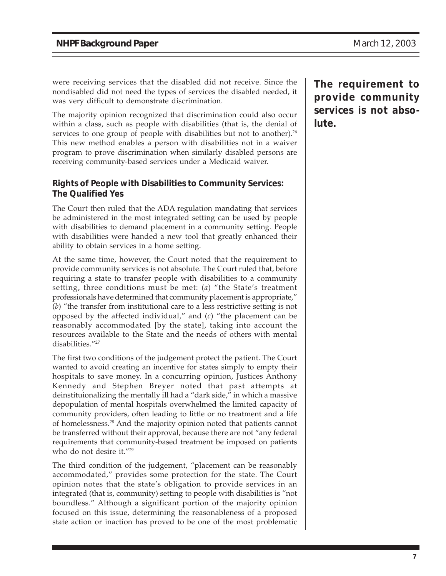were receiving services that the disabled did not receive. Since the nondisabled did not need the types of services the disabled needed, it was very difficult to demonstrate discrimination.

The majority opinion recognized that discrimination could also occur within a class, such as people with disabilities (that is, the denial of services to one group of people with disabilities but not to another).<sup>26</sup> This new method enables a person with disabilities not in a waiver program to prove discrimination when similarly disabled persons are receiving community-based services under a Medicaid waiver.

#### **Rights of People with Disabilities to Community Services: The Qualified Yes**

The Court then ruled that the ADA regulation mandating that services be administered in the most integrated setting can be used by people with disabilities to demand placement in a community setting. People with disabilities were handed a new tool that greatly enhanced their ability to obtain services in a home setting.

At the same time, however, the Court noted that the requirement to provide community services is not absolute. The Court ruled that, before requiring a state to transfer people with disabilities to a community setting, three conditions must be met: (*a*) "the State's treatment professionals have determined that community placement is appropriate," (*b*) "the transfer from institutional care to a less restrictive setting is not opposed by the affected individual," and (*c*) "the placement can be reasonably accommodated [by the state], taking into account the resources available to the State and the needs of others with mental disabilities."27

The first two conditions of the judgement protect the patient. The Court wanted to avoid creating an incentive for states simply to empty their hospitals to save money. In a concurring opinion, Justices Anthony Kennedy and Stephen Breyer noted that past attempts at deinstituionalizing the mentally ill had a "dark side," in which a massive depopulation of mental hospitals overwhelmed the limited capacity of community providers, often leading to little or no treatment and a life of homelessness.28 And the majority opinion noted that patients cannot be transferred without their approval, because there are not "any federal requirements that community-based treatment be imposed on patients who do not desire it."29

The third condition of the judgement, "placement can be reasonably accommodated," provides some protection for the state. The Court opinion notes that the state's obligation to provide services in an integrated (that is, community) setting to people with disabilities is "not boundless." Although a significant portion of the majority opinion focused on this issue, determining the reasonableness of a proposed state action or inaction has proved to be one of the most problematic

**The requirement to provide community services is not absolute.**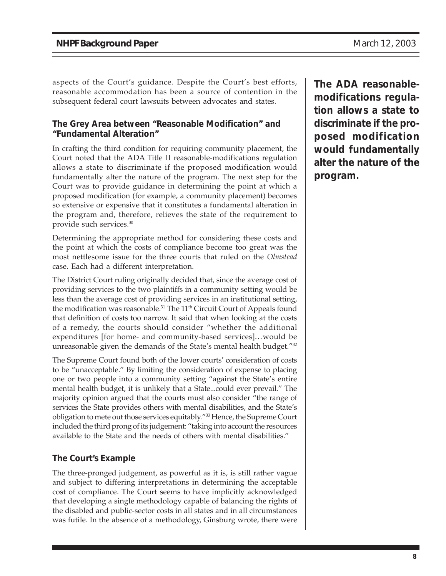aspects of the Court's guidance. Despite the Court's best efforts, reasonable accommodation has been a source of contention in the subsequent federal court lawsuits between advocates and states.

#### **The Grey Area between "Reasonable Modification" and "Fundamental Alteration"**

In crafting the third condition for requiring community placement, the Court noted that the ADA Title II reasonable-modifications regulation allows a state to discriminate if the proposed modification would fundamentally alter the nature of the program. The next step for the Court was to provide guidance in determining the point at which a proposed modification (for example, a community placement) becomes so extensive or expensive that it constitutes a fundamental alteration in the program and, therefore, relieves the state of the requirement to provide such services.30

Determining the appropriate method for considering these costs and the point at which the costs of compliance become too great was the most nettlesome issue for the three courts that ruled on the *Olmstead* case. Each had a different interpretation.

The District Court ruling originally decided that, since the average cost of providing services to the two plaintiffs in a community setting would be less than the average cost of providing services in an institutional setting, the modification was reasonable.<sup>31</sup> The 11<sup>th</sup> Circuit Court of Appeals found that definition of costs too narrow. It said that when looking at the costs of a remedy, the courts should consider "whether the additional expenditures [for home- and community-based services]...would be unreasonable given the demands of the State's mental health budget."32

The Supreme Court found both of the lower courts' consideration of costs to be "unacceptable." By limiting the consideration of expense to placing one or two people into a community setting "against the State's entire mental health budget, it is unlikely that a State...could ever prevail." The majority opinion argued that the courts must also consider "the range of services the State provides others with mental disabilities, and the State's obligation to mete out those services equitably."33 Hence, the Supreme Court included the third prong of its judgement: "taking into account the resources available to the State and the needs of others with mental disabilities."

#### **The Court's Example**

The three-pronged judgement, as powerful as it is, is still rather vague and subject to differing interpretations in determining the acceptable cost of compliance. The Court seems to have implicitly acknowledged that developing a single methodology capable of balancing the rights of the disabled and public-sector costs in all states and in all circumstances was futile. In the absence of a methodology, Ginsburg wrote, there were **The ADA reasonablemodifications regulation allows a state to discriminate if the proposed modification would fundamentally alter the nature of the program.**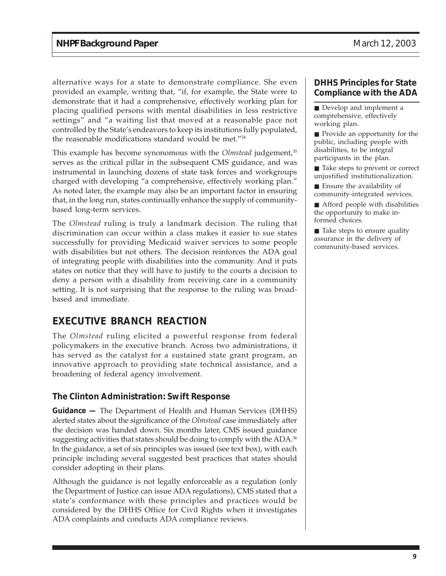alternative ways for a state to demonstrate compliance. She even provided an example, writing that, "if, for example, the State were to demonstrate that it had a comprehensive, effectively working plan for placing qualified persons with mental disabilities in less restrictive settings" and "a waiting list that moved at a reasonable pace not controlled by the State's endeavors to keep its institutions fully populated, the reasonable modifications standard would be met."34

This example has become synonomous with the *Olmstead* judgement,<sup>35</sup> serves as the critical pillar in the subsequent CMS guidance, and was instrumental in launching dozens of state task forces and workgroups charged with developing "a comprehensive, effectively working plan." As noted later, the example may also be an important factor in ensuring that, in the long run, states continually enhance the supply of communitybased long-term services.

The *Olmstead* ruling is truly a landmark decision. The ruling that discrimination can occur within a class makes it easier to sue states successfully for providing Medicaid waiver services to some people with disabilities but not others. The decision reinforces the ADA goal of integrating people with disabilities into the community. And it puts states on notice that they will have to justify to the courts a decision to deny a person with a disability from receiving care in a community setting. It is not surprising that the response to the ruling was broadbased and immediate.

## **EXECUTIVE BRANCH REACTION**

The *Olmstead* ruling elicited a powerful response from federal policymakers in the executive branch. Across two administrations, it has served as the catalyst for a sustained state grant program, an innovative approach to providing state technical assistance, and a broadening of federal agency involvement.

#### **The Clinton Administration: Swift Response**

**Guidance —** The Department of Health and Human Services (DHHS) alerted states about the significance of the *Olmstead* case immediately after the decision was handed down. Six months later, CMS issued guidance suggesting activities that states should be doing to comply with the ADA.<sup>36</sup> In the guidance, a set of six principles was issued (see text box), with each principle including several suggested best practices that states should consider adopting in their plans.

Although the guidance is not legally enforceable as a regulation (only the Department of Justice can issue ADA regulations), CMS stated that a state's conformance with these principles and practices would be considered by the DHHS Office for Civil Rights when it investigates ADA complaints and conducts ADA compliance reviews.

#### **DHHS Principles for State Compliance with the ADA**

■ Develop and implement a comprehensive, effectively working plan.

■ Provide an opportunity for the public, including people with disabilities, to be integral participants in the plan.

■ Take steps to prevent or correct unjustified institutionalization.

■ Ensure the availability of community-integrated services.

■ Afford people with disabilities the opportunity to make informed choices.

■ Take steps to ensure quality assurance in the delivery of community-based services.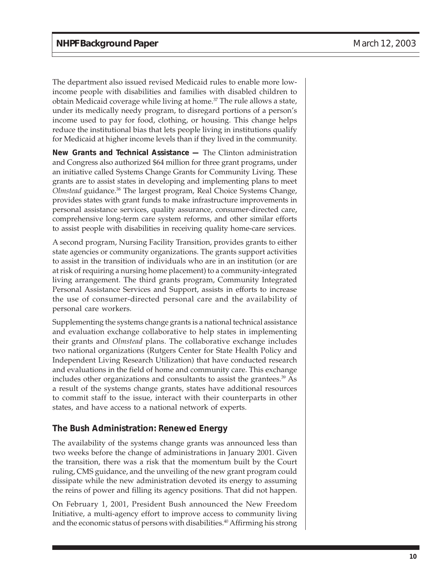The department also issued revised Medicaid rules to enable more lowincome people with disabilities and families with disabled children to obtain Medicaid coverage while living at home.<sup>37</sup> The rule allows a state, under its medically needy program, to disregard portions of a person's income used to pay for food, clothing, or housing. This change helps reduce the institutional bias that lets people living in institutions qualify for Medicaid at higher income levels than if they lived in the community.

**New Grants and Technical Assistance —** The Clinton administration and Congress also authorized \$64 million for three grant programs, under an initiative called Systems Change Grants for Community Living. These grants are to assist states in developing and implementing plans to meet *Olmstead* guidance.38 The largest program, Real Choice Systems Change, provides states with grant funds to make infrastructure improvements in personal assistance services, quality assurance, consumer-directed care, comprehensive long-term care system reforms, and other similar efforts to assist people with disabilities in receiving quality home-care services.

A second program, Nursing Facility Transition, provides grants to either state agencies or community organizations. The grants support activities to assist in the transition of individuals who are in an institution (or are at risk of requiring a nursing home placement) to a community-integrated living arrangement. The third grants program, Community Integrated Personal Assistance Services and Support, assists in efforts to increase the use of consumer-directed personal care and the availability of personal care workers.

Supplementing the systems change grants is a national technical assistance and evaluation exchange collaborative to help states in implementing their grants and *Olmstead* plans. The collaborative exchange includes two national organizations (Rutgers Center for State Health Policy and Independent Living Research Utilization) that have conducted research and evaluations in the field of home and community care. This exchange includes other organizations and consultants to assist the grantees. $39$  As a result of the systems change grants, states have additional resources to commit staff to the issue, interact with their counterparts in other states, and have access to a national network of experts.

#### **The Bush Administration: Renewed Energy**

The availability of the systems change grants was announced less than two weeks before the change of administrations in January 2001. Given the transition, there was a risk that the momentum built by the Court ruling, CMS guidance, and the unveiling of the new grant program could dissipate while the new administration devoted its energy to assuming the reins of power and filling its agency positions. That did not happen.

On February 1, 2001, President Bush announced the New Freedom Initiative, a multi-agency effort to improve access to community living and the economic status of persons with disabilities.<sup>40</sup> Affirming his strong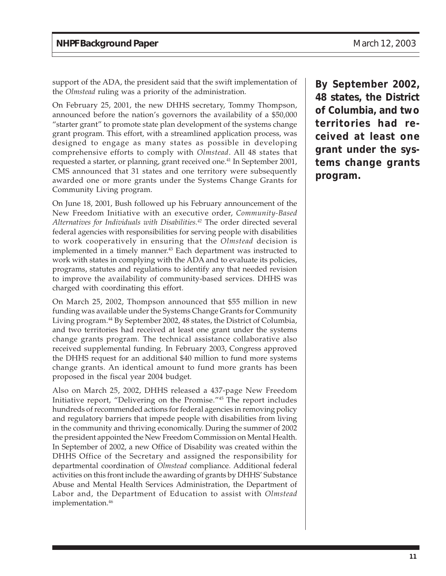support of the ADA, the president said that the swift implementation of the *Olmstead* ruling was a priority of the administration.

On February 25, 2001, the new DHHS secretary, Tommy Thompson, announced before the nation's governors the availability of a \$50,000 "starter grant" to promote state plan development of the systems change grant program. This effort, with a streamlined application process, was designed to engage as many states as possible in developing comprehensive efforts to comply with *Olmstead*. All 48 states that requested a starter, or planning, grant received one.<sup>41</sup> In September 2001, CMS announced that 31 states and one territory were subsequently awarded one or more grants under the Systems Change Grants for Community Living program.

On June 18, 2001, Bush followed up his February announcement of the New Freedom Initiative with an executive order, *Community-Based Alternatives for Individuals with Disabilities.42* The order directed several federal agencies with responsibilities for serving people with disabilities to work cooperatively in ensuring that the *Olmstead* decision is implemented in a timely manner.<sup>43</sup> Each department was instructed to work with states in complying with the ADA and to evaluate its policies, programs, statutes and regulations to identify any that needed revision to improve the availability of community-based services. DHHS was charged with coordinating this effort.

On March 25, 2002, Thompson announced that \$55 million in new funding was available under the Systems Change Grants for Community Living program.<sup>44</sup> By September 2002, 48 states, the District of Columbia, and two territories had received at least one grant under the systems change grants program. The technical assistance collaborative also received supplemental funding. In February 2003, Congress approved the DHHS request for an additional \$40 million to fund more systems change grants. An identical amount to fund more grants has been proposed in the fiscal year 2004 budget.

Also on March 25, 2002, DHHS released a 437-page New Freedom Initiative report, "Delivering on the Promise."45 The report includes hundreds of recommended actions for federal agencies in removing policy and regulatory barriers that impede people with disabilities from living in the community and thriving economically. During the summer of 2002 the president appointed the New Freedom Commission on Mental Health. In September of 2002, a new Office of Disability was created within the DHHS Office of the Secretary and assigned the responsibility for departmental coordination of *Olmstead* compliance. Additional federal activities on this front include the awarding of grants by DHHS' Substance Abuse and Mental Health Services Administration, the Department of Labor and, the Department of Education to assist with *Olmstead* implementation.<sup>46</sup>

**By September 2002, 48 states, the District of Columbia, and two territories had received at least one grant under the systems change grants program.**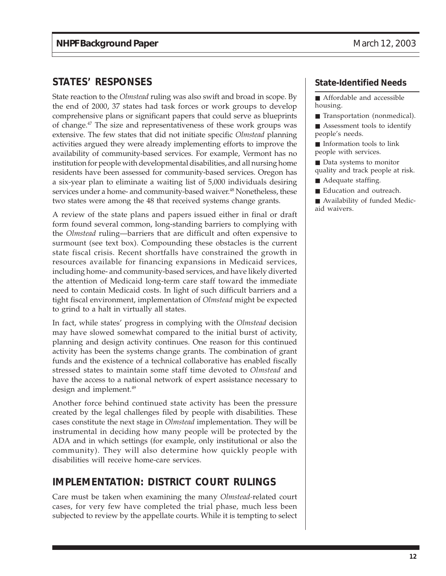### **STATES' RESPONSES**

State reaction to the *Olmstead* ruling was also swift and broad in scope. By the end of 2000, 37 states had task forces or work groups to develop comprehensive plans or significant papers that could serve as blueprints of change.47 The size and representativeness of these work groups was extensive. The few states that did not initiate specific *Olmstead* planning activities argued they were already implementing efforts to improve the availability of community-based services. For example, Vermont has no institution for people with developmental disabilities, and all nursing home residents have been assessed for community-based services. Oregon has a six-year plan to eliminate a waiting list of 5,000 individuals desiring services under a home- and community-based waiver.<sup>48</sup> Nonetheless, these two states were among the 48 that received systems change grants.

A review of the state plans and papers issued either in final or draft form found several common, long-standing barriers to complying with the *Olmstead* ruling—barriers that are difficult and often expensive to surmount (see text box). Compounding these obstacles is the current state fiscal crisis. Recent shortfalls have constrained the growth in resources available for financing expansions in Medicaid services, including home- and community-based services, and have likely diverted the attention of Medicaid long-term care staff toward the immediate need to contain Medicaid costs. In light of such difficult barriers and a tight fiscal environment, implementation of *Olmstead* might be expected to grind to a halt in virtually all states.

In fact, while states' progress in complying with the *Olmstead* decision may have slowed somewhat compared to the initial burst of activity, planning and design activity continues. One reason for this continued activity has been the systems change grants. The combination of grant funds and the existence of a technical collaborative has enabled fiscally stressed states to maintain some staff time devoted to *Olmstead* and have the access to a national network of expert assistance necessary to design and implement.<sup>49</sup>

Another force behind continued state activity has been the pressure created by the legal challenges filed by people with disabilities. These cases constitute the next stage in *Olmstead* implementation. They will be instrumental in deciding how many people will be protected by the ADA and in which settings (for example, only institutional or also the community). They will also determine how quickly people with disabilities will receive home-care services.

### **IMPLEMENTATION: DISTRICT COURT RULINGS**

Care must be taken when examining the many *Olmstead-*related court cases, for very few have completed the trial phase, much less been subjected to review by the appellate courts. While it is tempting to select

#### **State-Identified Needs**

■ Affordable and accessible housing.

■ Transportation (nonmedical).

■ Assessment tools to identify people's needs.

■ Information tools to link people with services.

■ Data systems to monitor quality and track people at risk.

- Adequate staffing.
- Education and outreach.

■ Availability of funded Medicaid waivers.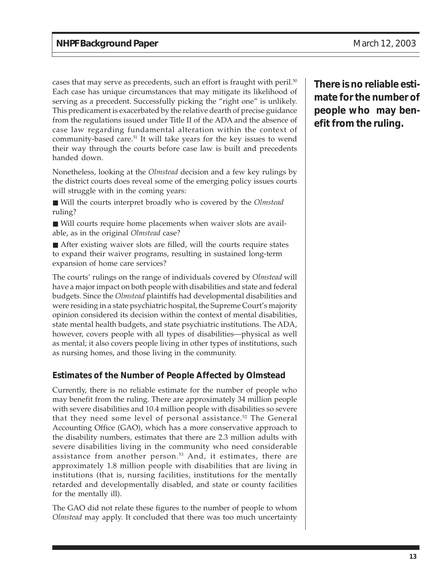cases that may serve as precedents, such an effort is fraught with peril.<sup>50</sup> Each case has unique circumstances that may mitigate its likelihood of serving as a precedent. Successfully picking the "right one" is unlikely. This predicament is exacerbated by the relative dearth of precise guidance from the regulations issued under Title II of the ADA and the absence of case law regarding fundamental alteration within the context of community-based care.<sup>51</sup> It will take years for the key issues to wend their way through the courts before case law is built and precedents handed down.

Nonetheless, looking at the *Olmstead* decision and a few key rulings by the district courts does reveal some of the emerging policy issues courts will struggle with in the coming years:

- Will the courts interpret broadly who is covered by the *Olmstead* ruling?
- Will courts require home placements when waiver slots are available, as in the original *Olmstead* case?
- After existing waiver slots are filled, will the courts require states to expand their waiver programs, resulting in sustained long-term expansion of home care services?

The courts' rulings on the range of individuals covered by *Olmstead* will have a major impact on both people with disabilities and state and federal budgets. Since the *Olmstead* plaintiffs had developmental disabilities and were residing in a state psychiatric hospital, the Supreme Court's majority opinion considered its decision within the context of mental disabilities, state mental health budgets, and state psychiatric institutions. The ADA, however, covers people with all types of disabilities—physical as well as mental; it also covers people living in other types of institutions, such as nursing homes, and those living in the community.

#### **Estimates of the Number of People Affected by Olmstead**

Currently, there is no reliable estimate for the number of people who may benefit from the ruling. There are approximately 34 million people with severe disabilities and 10.4 million people with disabilities so severe that they need some level of personal assistance.<sup>52</sup> The General Accounting Office (GAO), which has a more conservative approach to the disability numbers, estimates that there are 2.3 million adults with severe disabilities living in the community who need considerable assistance from another person.<sup>53</sup> And, it estimates, there are approximately 1.8 million people with disabilities that are living in institutions (that is, nursing facilities, institutions for the mentally retarded and developmentally disabled, and state or county facilities for the mentally ill).

The GAO did not relate these figures to the number of people to whom *Olmstead* may apply. It concluded that there was too much uncertainty **There is no reliable estimate for the number of people who may benefit from the ruling.**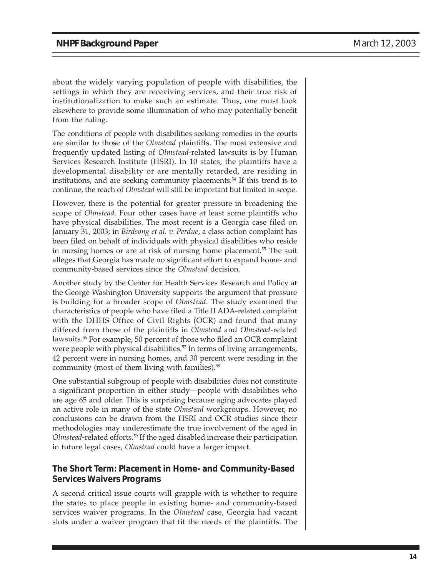about the widely varying population of people with disabilities, the settings in which they are receviving services, and their true risk of institutionalization to make such an estimate. Thus, one must look elsewhere to provide some illumination of who may potentially benefit from the ruling.

The conditions of people with disabilities seeking remedies in the courts are similar to those of the *Olmstead* plaintiffs. The most extensive and frequently updated listing of *Olmstead-*related lawsuits is by Human Services Research Institute (HSRI). In 10 states, the plaintiffs have a developmental disability or are mentally retarded, are residing in institutions, and are seeking community placements.54 If this trend is to continue, the reach of *Olmstead* will still be important but limited in scope.

However, there is the potential for greater pressure in broadening the scope of *Olmstead*. Four other cases have at least some plaintiffs who have physical disabilities. The most recent is a Georgia case filed on January 31, 2003; in *Birdsong et al. v. Perdue*, a class action complaint has been filed on behalf of individuals with physical disabilities who reside in nursing homes or are at risk of nursing home placement.<sup>55</sup> The suit alleges that Georgia has made no significant effort to expand home- and community-based services since the *Olmstead* decision.

Another study by the Center for Health Services Research and Policy at the George Washington University supports the argument that pressure is building for a broader scope of *Olmstead*. The study examined the characteristics of people who have filed a Title II ADA-related complaint with the DHHS Office of Civil Rights (OCR) and found that many differed from those of the plaintiffs in *Olmstead* and *Olmstead*-related lawsuits.<sup>56</sup> For example, 50 percent of those who filed an OCR complaint were people with physical disabilities.<sup>57</sup> In terms of living arrangements, 42 percent were in nursing homes, and 30 percent were residing in the community (most of them living with families).<sup>58</sup>

One substantial subgroup of people with disabilities does not constitute a significant proportion in either study—people with disabilities who are age 65 and older. This is surprising because aging advocates played an active role in many of the state *Olmstead* workgroups. However, no conclusions can be drawn from the HSRI and OCR studies since their methodologies may underestimate the true involvement of the aged in *Olmstead*-related efforts.59 If the aged disabled increase their participation in future legal cases, *Olmstead* could have a larger impact.

#### **The Short Term: Placement in Home- and Community-Based Services Waivers Programs**

A second critical issue courts will grapple with is whether to require the states to place people in existing home- and community-based services waiver programs. In the *Olmstead* case, Georgia had vacant slots under a waiver program that fit the needs of the plaintiffs. The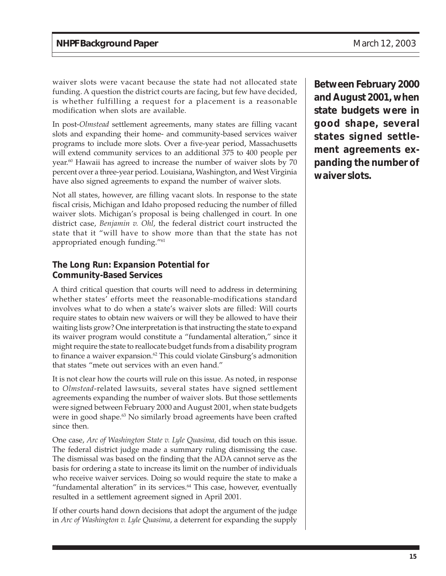waiver slots were vacant because the state had not allocated state funding. A question the district courts are facing, but few have decided, is whether fulfilling a request for a placement is a reasonable modification when slots are available.

In post-*Olmstead* settlement agreements, many states are filling vacant slots and expanding their home- and community-based services waiver programs to include more slots. Over a five-year period, Massachusetts will extend community services to an additional 375 to 400 people per year.<sup>60</sup> Hawaii has agreed to increase the number of waiver slots by  $70$ percent over a three-year period. Louisiana, Washington, and West Virginia have also signed agreements to expand the number of waiver slots.

Not all states, however, are filling vacant slots. In response to the state fiscal crisis, Michigan and Idaho proposed reducing the number of filled waiver slots. Michigan's proposal is being challenged in court. In one district case, *Benjamin v. Ohl*, the federal district court instructed the state that it "will have to show more than that the state has not appropriated enough funding."<sup>61</sup>

#### **The Long Run: Expansion Potential for Community-Based Services**

A third critical question that courts will need to address in determining whether states' efforts meet the reasonable-modifications standard involves what to do when a state's waiver slots are filled: Will courts require states to obtain new waivers or will they be allowed to have their waiting lists grow? One interpretation is that instructing the state to expand its waiver program would constitute a "fundamental alteration," since it might require the state to reallocate budget funds from a disability program to finance a waiver expansion.<sup>62</sup> This could violate Ginsburg's admonition that states "mete out services with an even hand."

It is not clear how the courts will rule on this issue. As noted, in response to *Olmstead*-related lawsuits, several states have signed settlement agreements expanding the number of waiver slots. But those settlements were signed between February 2000 and August 2001, when state budgets were in good shape.<sup>63</sup> No similarly broad agreements have been crafted since then.

One case, *Arc of Washington State v. Lyle Quasima,* did touch on this issue. The federal district judge made a summary ruling dismissing the case. The dismissal was based on the finding that the ADA cannot serve as the basis for ordering a state to increase its limit on the number of individuals who receive waiver services. Doing so would require the state to make a "fundamental alteration" in its services.<sup>64</sup> This case, however, eventually resulted in a settlement agreement signed in April 2001.

If other courts hand down decisions that adopt the argument of the judge in *Arc of Washington v. Lyle Quasima*, a deterrent for expanding the supply **Between February 2000 and August 2001, when state budgets were in good shape, several states signed settlement agreements expanding the number of waiver slots.**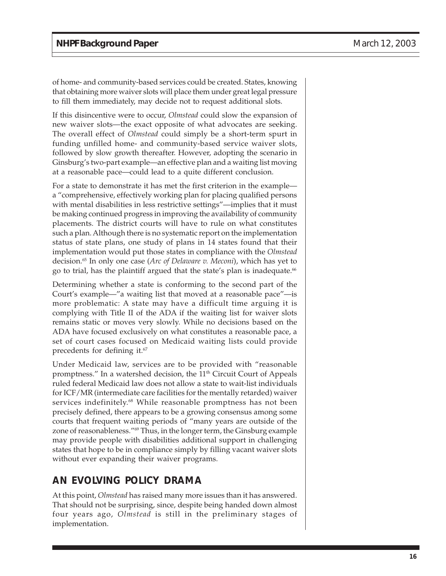of home- and community-based services could be created. States, knowing that obtaining more waiver slots will place them under great legal pressure to fill them immediately, may decide not to request additional slots.

If this disincentive were to occur, *Olmstead* could slow the expansion of new waiver slots—the exact opposite of what advocates are seeking. The overall effect of *Olmstead* could simply be a short-term spurt in funding unfilled home- and community-based service waiver slots, followed by slow growth thereafter. However, adopting the scenario in Ginsburg's two-part example—an effective plan and a waiting list moving at a reasonable pace—could lead to a quite different conclusion.

For a state to demonstrate it has met the first criterion in the example a "comprehensive, effectively working plan for placing qualified persons with mental disabilities in less restrictive settings"—implies that it must be making continued progress in improving the availability of community placements. The district courts will have to rule on what constitutes such a plan. Although there is no systematic report on the implementation status of state plans, one study of plans in 14 states found that their implementation would put those states in compliance with the *Olmstead* decision.65 In only one case (*Arc of Delaware v. Meconi*), which has yet to go to trial, has the plaintiff argued that the state's plan is inadequate.<sup>66</sup>

Determining whether a state is conforming to the second part of the Court's example—"a waiting list that moved at a reasonable pace"—is more problematic: A state may have a difficult time arguing it is complying with Title II of the ADA if the waiting list for waiver slots remains static or moves very slowly. While no decisions based on the ADA have focused exclusively on what constitutes a reasonable pace, a set of court cases focused on Medicaid waiting lists could provide precedents for defining it.67

Under Medicaid law, services are to be provided with "reasonable promptness." In a watershed decision, the 11<sup>th</sup> Circuit Court of Appeals ruled federal Medicaid law does not allow a state to wait-list individuals for ICF/MR (intermediate care facilities for the mentally retarded) waiver services indefinitely.<sup>68</sup> While reasonable promptness has not been precisely defined, there appears to be a growing consensus among some courts that frequent waiting periods of "many years are outside of the zone of reasonableness."<sup>69</sup> Thus, in the longer term, the Ginsburg example may provide people with disabilities additional support in challenging states that hope to be in compliance simply by filling vacant waiver slots without ever expanding their waiver programs.

### **AN EVOLVING POLICY DRAMA**

At this point, *Olmstead* has raised many more issues than it has answered. That should not be surprising, since, despite being handed down almost four years ago, *Olmstead* is still in the preliminary stages of implementation.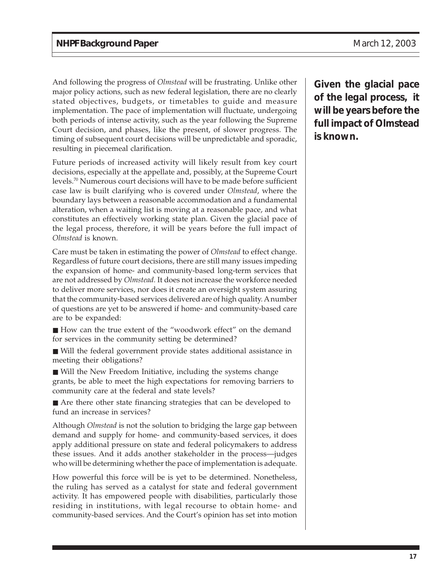And following the progress of *Olmstead* will be frustrating. Unlike other major policy actions, such as new federal legislation, there are no clearly stated objectives, budgets, or timetables to guide and measure implementation. The pace of implementation will fluctuate, undergoing both periods of intense activity, such as the year following the Supreme Court decision, and phases, like the present, of slower progress. The timing of subsequent court decisions will be unpredictable and sporadic, resulting in piecemeal clarification.

Future periods of increased activity will likely result from key court decisions, especially at the appellate and, possibly, at the Supreme Court levels.70 Numerous court decisions will have to be made before sufficient case law is built clarifying who is covered under *Olmstead*, where the boundary lays between a reasonable accommodation and a fundamental alteration, when a waiting list is moving at a reasonable pace, and what constitutes an effectively working state plan. Given the glacial pace of the legal process, therefore, it will be years before the full impact of *Olmstead* is known.

Care must be taken in estimating the power of *Olmstead* to effect change. Regardless of future court decisions, there are still many issues impeding the expansion of home- and community-based long-term services that are not addressed by *Olmstead.* It does not increase the workforce needed to deliver more services, nor does it create an oversight system assuring that the community-based services delivered are of high quality. A number of questions are yet to be answered if home- and community-based care are to be expanded:

■ How can the true extent of the "woodwork effect" on the demand for services in the community setting be determined?

■ Will the federal government provide states additional assistance in meeting their obligations?

■ Will the New Freedom Initiative, including the systems change grants, be able to meet the high expectations for removing barriers to community care at the federal and state levels?

■ Are there other state financing strategies that can be developed to fund an increase in services?

Although *Olmstead* is not the solution to bridging the large gap between demand and supply for home- and community-based services, it does apply additional pressure on state and federal policymakers to address these issues. And it adds another stakeholder in the process—judges who will be determining whether the pace of implementation is adequate.

How powerful this force will be is yet to be determined. Nonetheless, the ruling has served as a catalyst for state and federal government activity. It has empowered people with disabilities, particularly those residing in institutions, with legal recourse to obtain home- and community-based services. And the Court's opinion has set into motion

**Given the glacial pace of the legal process, it will be years before the full impact of** *Olmstead* **is known.**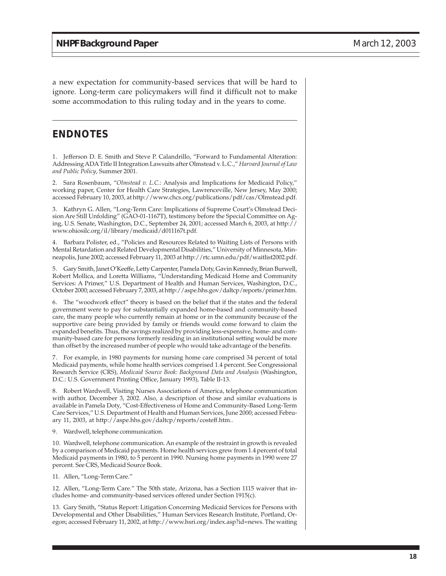a new expectation for community-based services that will be hard to ignore. Long-term care policymakers will find it difficult not to make some accommodation to this ruling today and in the years to come.

#### **ENDNOTES**

1. Jefferson D. E. Smith and Steve P. Calandrillo, "Forward to Fundamental Alteration: Addressing ADA Title II Integration Lawsuits after Olmstead v. L.C.," *Harvard Journal of Law and Public Policy*, Summer 2001.

2. Sara Rosenbaum, "*Olmstead v. L.C.*: Analysis and Implications for Medicaid Policy," working paper, Center for Health Care Strategies, Lawrenceville, New Jersey, May 2000; accessed February 10, 2003, at http://www.chcs.org/publications/pdf/cas/Olmstead.pdf.

3. Kathryn G. Allen, "Long-Term Care: Implications of Supreme Court's Olmstead Decision Are Still Unfolding" (GAO-01-1167T), testimony before the Special Committee on Aging, U.S. Senate, Washington, D.C., September 24, 2001; accessed March 6, 2003, at http:// www.ohiosilc.org/il/library/medicaid/d011167t.pdf.

4. Barbara Polister, ed., "Policies and Resources Related to Waiting Lists of Persons with Mental Retardation and Related Developmental Disabilities," University of Minnesota, Minneapolis, June 2002; accessed February 11, 2003 at http://rtc.umn.edu/pdf/waitlist2002.pdf.

5. Gary Smith, Janet O'Keeffe, Letty Carpenter, Pamela Doty, Gavin Kennedy, Brian Burwell, Robert Mollica, and Loretta Williams, "Understanding Medicaid Home and Community Services: A Primer," U.S. Department of Health and Human Services, Washington, D.C., October 2000; accessed February 7, 2003, at http://aspe.hhs.gov/daltcp/reports/primer.htm.

6. The "woodwork effect" theory is based on the belief that if the states and the federal government were to pay for substantially expanded home-based and community-based care, the many people who currently remain at home or in the community because of the supportive care being provided by family or friends would come forward to claim the expanded benefits. Thus, the savings realized by providing less-expensive, home- and community-based care for persons formerly residing in an institutional setting would be more than offset by the increased number of people who would take advantage of the benefits.

7. For example, in 1980 payments for nursing home care comprised 34 percent of total Medicaid payments, while home health services comprised 1.4 percent. See Congressional Research Service (CRS), *Medicaid Source Book: Background Data and Analysis* (Washington, D.C.: U.S. Government Printing Office, January 1993), Table II-13.

8. Robert Wardwell, Visiting Nurses Associations of America, telephone communication with author, December 3, 2002. Also, a description of those and similar evaluations is available in Pamela Doty, "Cost-Effectiveness of Home and Community-Based Long-Term Care Services," U.S. Department of Health and Human Services, June 2000; accessed February 11, 2003, at http://aspe.hhs.gov/daltcp/reports/costeff.htm..

9. Wardwell, telephone communication.

10. Wardwell, telephone communication. An example of the restraint in growth is revealed by a comparison of Medicaid payments. Home health services grew from 1.4 percent of total Medicaid payments in 1980, to 5 percent in 1990. Nursing home payments in 1990 were 27 percent. See CRS, Medicaid Source Book.

11. Allen, "Long-Term Care."

12. Allen, "Long-Term Care." The 50th state, Arizona, has a Section 1115 waiver that includes home- and community-based services offered under Section 1915(c).

13. Gary Smith, "Status Report: Litigation Concerning Medicaid Services for Persons with Developmental and Other Disabilities," Human Services Research Institute, Portland, Oregon; accessed February 11, 2002, at http://www.hsri.org/index.asp?id=news. The waiting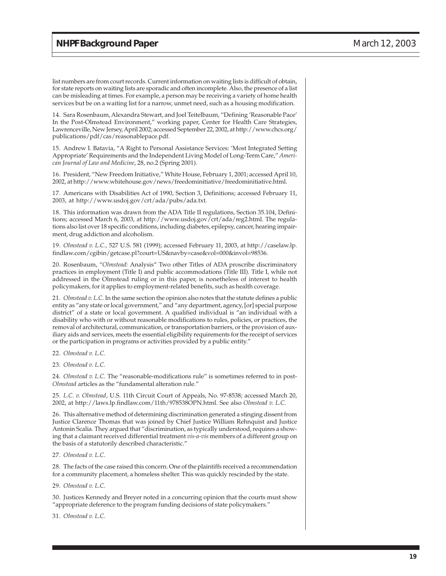list numbers are from court records. Current information on waiting lists is difficult of obtain, for state reports on waiting lists are sporadic and often incomplete. Also, the presence of a list can be misleading at times. For example, a person may be receiving a variety of home health services but be on a waiting list for a narrow, unmet need, such as a housing modification.

14. Sara Rosenbaum, Alexandra Stewart, and Joel Teitelbaum, "Defining 'Reasonable Pace' In the Post-Olmstead Environment," working paper, Center for Health Care Strategies, Lawrenceville, New Jersey, April 2002; accessed September 22, 2002, at http://www.chcs.org/ publications/pdf/cas/reasonablepace.pdf.

15. Andrew I. Batavia, "A Right to Personal Assistance Services: 'Most Integrated Setting Appropriate' Requirements and the Independent Living Model of Long-Term Care," *American Journal of Law and Medicine*, 28, no.2 (Spring 2001).

16. President, "New Freedom Initiative," White House, February 1, 2001; accessed April 10, 2002, at http://www.whitehouse.gov/news/freedominitiative/freedominitiative.html.

17. Americans with Disabilities Act of 1990, Section 3, Definitions; accessed February 11, 2003, at http://www.usdoj.gov/crt/ada/pubs/ada.txt.

18. This information was drawn from the ADA Title II regulations, Section 35.104, Definitions; accessed March 6, 2003, at http://www.usdoj.gov/crt/ada/reg2.html. The regulations also list over 18 specific conditions, including diabetes, epilepsy, cancer, hearing impairment, drug addiction and alcoholism.

19. *Olmstead v. L.C.,* 527 U.S. 581 (1999); accessed February 11, 2003, at http://caselaw.lp. findlaw.com/cgibin/getcase.pl?court=US&navby=case&vol=000&invol=98536.

20. Rosenbaum, "*Olmstead:* Analysis" Two other Titles of ADA proscribe discriminatory practices in employment (Title I) and public accommodations (Title III). Title I, while not addressed in the Olmstead ruling or in this paper, is nonetheless of interest to health policymakers, for it applies to employment-related benefits, such as health coverage.

21. *Olmstead v. L.C.* In the same section the opinion also notes that the statute defines a public entity as "any state or local government," and "any department, agency, [or] special purpose district" of a state or local government. A qualified individual is "an individual with a disability who with or without reasonable modifications to rules, policies, or practices, the removal of architectural, communication, or transportation barriers, or the provision of auxiliary aids and services, meets the essential eligibility requirements for the receipt of services or the participation in programs or activities provided by a public entity."

22. *Olmstead v. L.C.*

23. *Olmstead v. L.C.*

24. *Olmstead v. L.C.* The "reasonable-modifications rule" is sometimes referred to in post-*Olmstead* articles as the "fundamental alteration rule."

25. *L.C. v. Olmstead*, U.S. 11th Circuit Court of Appeals, No. 97-8538; accessed March 20, 2002, at http://laws.lp.findlaw.com/11th/978538OPN.html. See also *Olmstead v. L.C.*

26. This alternative method of determining discrimination generated a stinging dissent from Justice Clarence Thomas that was joined by Chief Justice William Rehnquist and Justice Antonin Scalia. They argued that "discrimination, as typically understood, requires a showing that a claimant received differential treatment *vis-a-vis* members of a different group on the basis of a statutorily described characteristic."

27. *Olmstead v. L.C.*

28. The facts of the case raised this concern. One of the plaintiffs received a recommendation for a community placement, a homeless shelter. This was quickly rescinded by the state.

29. *Olmstead v. L.C.*

30. Justices Kennedy and Breyer noted in a concurring opinion that the courts must show "appropriate deference to the program funding decisions of state policymakers."

31. *Olmstead v. L.C.*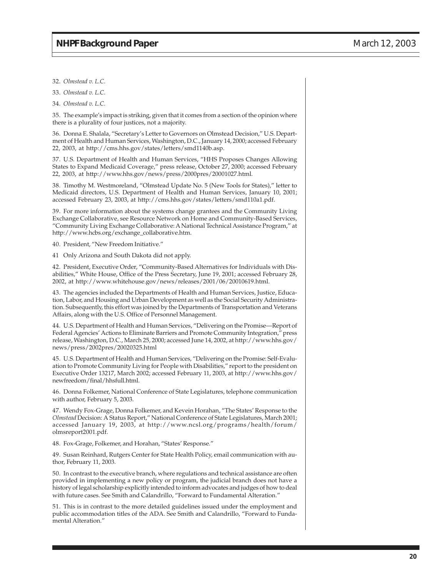- 32. *Olmstead v. L.C.*
- 33. *Olmstead v. L.C.*
- 34. *Olmstead v. L.C.*

35. The example's impact is striking, given that it comes from a section of the opinion where there is a plurality of four justices, not a majority.

36. Donna E. Shalala, "Secretary's Letter to Governors on Olmstead Decision," U.S. Department of Health and Human Services, Washington, D.C., January 14, 2000; accessed February 22, 2003, at http://cms.hhs.gov/states/letters/smd1140b.asp.

37. U.S. Department of Health and Human Services, "HHS Proposes Changes Allowing States to Expand Medicaid Coverage," press release, October 27, 2000; accessed February 22, 2003, at http://www.hhs.gov/news/press/2000pres/20001027.html.

38. Timothy M. Westmoreland, "Olmstead Update No. 5 (New Tools for States)," letter to Medicaid directors, U.S. Department of Health and Human Services, January 10, 2001; accessed February 23, 2003, at http://cms.hhs.gov/states/letters/smd110a1.pdf.

39. For more information about the systems change grantees and the Community Living Exchange Collaborative, see Resource Network on Home and Community-Based Services, "Community Living Exchange Collaborative: A National Technical Assistance Program," at http://www.hcbs.org/exchange\_collaborative.htm.

40. President, "New Freedom Initiative."

41 Only Arizona and South Dakota did not apply.

42. President, Executive Order, "Community-Based Alternatives for Individuals with Disabilities," White House, Office of the Press Secretary, June 19, 2001; accessed February 28, 2002, at http://www.whitehouse.gov/news/releases/2001/06/20010619.html.

43. The agencies included the Departments of Health and Human Services, Justice, Education, Labor, and Housing and Urban Development as well as the Social Security Administration. Subsequently, this effort was joined by the Departments of Transportation and Veterans Affairs, along with the U.S. Office of Personnel Management.

44. U.S. Department of Health and Human Services, "Delivering on the Promise—Report of Federal Agencies' Actions to Eliminate Barriers and Promote Community Integration," press release, Washington, D.C., March 25, 2000; accessed June 14, 2002, at http://www.hhs.gov/ news/press/2002pres/20020325.html

45. U.S. Department of Health and Human Services, "Delivering on the Promise: Self-Evaluation to Promote Community Living for People with Disabilities," report to the president on Executive Order 13217, March 2002; accessed February 11, 2003, at http://www.hhs.gov/ newfreedom/final/hhsfull.html.

46. Donna Folkemer, National Conference of State Legislatures, telephone communication with author, February 5, 2003.

47. Wendy Fox-Grage, Donna Folkemer, and Kevein Horahan, "The States' Response to the *Olmstead* Decision: A Status Report," National Conference of State Legislatures, March 2001; accessed January 19, 2003, at http://www.ncsl.org/programs/health/forum/ olmsreport2001.pdf.

48. Fox-Grage, Folkemer, and Horahan, "States' Response."

49. Susan Reinhard, Rutgers Center for State Health Policy, email communication with author, February 11, 2003.

50. In contrast to the executive branch, where regulations and technical assistance are often provided in implementing a new policy or program, the judicial branch does not have a history of legal scholarship explicitly intended to inform advocates and judges of how to deal with future cases. See Smith and Calandrillo, "Forward to Fundamental Alteration."

51. This is in contrast to the more detailed guidelines issued under the employment and public accommodation titles of the ADA. See Smith and Calandrillo, "Forward to Fundamental Alteration."